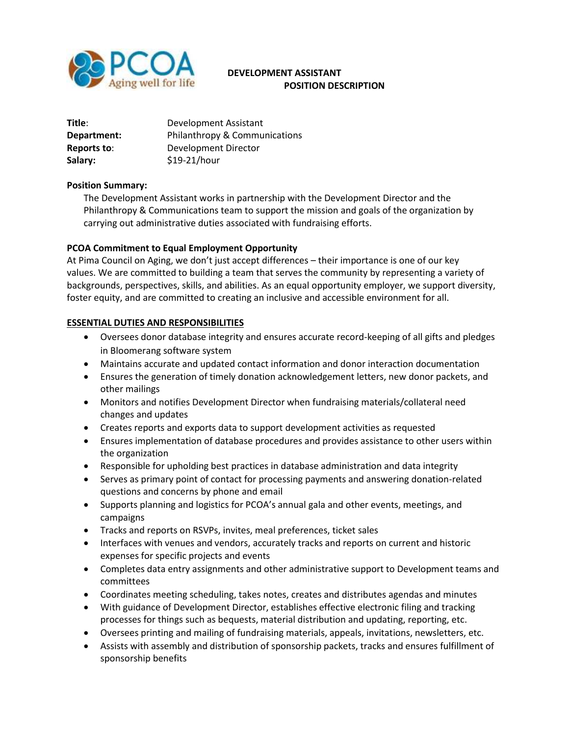

# **DEVELOPMENT ASSISTANT POSITION DESCRIPTION**

| Title:      | Development Assistant         |
|-------------|-------------------------------|
| Department: | Philanthropy & Communications |
| Reports to: | Development Director          |
| Salary:     | \$19-21/hour                  |

#### **Position Summary:**

The Development Assistant works in partnership with the Development Director and the Philanthropy & Communications team to support the mission and goals of the organization by carrying out administrative duties associated with fundraising efforts.

### **PCOA Commitment to Equal Employment Opportunity**

At Pima Council on Aging, we don't just accept differences – their importance is one of our key values. We are committed to building a team that serves the community by representing a variety of backgrounds, perspectives, skills, and abilities. As an equal opportunity employer, we support diversity, foster equity, and are committed to creating an inclusive and accessible environment for all.

### **ESSENTIAL DUTIES AND RESPONSIBILITIES**

- Oversees donor database integrity and ensures accurate record-keeping of all gifts and pledges in Bloomerang software system
- Maintains accurate and updated contact information and donor interaction documentation
- Ensures the generation of timely donation acknowledgement letters, new donor packets, and other mailings
- Monitors and notifies Development Director when fundraising materials/collateral need changes and updates
- Creates reports and exports data to support development activities as requested
- Ensures implementation of database procedures and provides assistance to other users within the organization
- Responsible for upholding best practices in database administration and data integrity
- Serves as primary point of contact for processing payments and answering donation-related questions and concerns by phone and email
- Supports planning and logistics for PCOA's annual gala and other events, meetings, and campaigns
- Tracks and reports on RSVPs, invites, meal preferences, ticket sales
- Interfaces with venues and vendors, accurately tracks and reports on current and historic expenses for specific projects and events
- Completes data entry assignments and other administrative support to Development teams and committees
- Coordinates meeting scheduling, takes notes, creates and distributes agendas and minutes
- With guidance of Development Director, establishes effective electronic filing and tracking processes for things such as bequests, material distribution and updating, reporting, etc.
- Oversees printing and mailing of fundraising materials, appeals, invitations, newsletters, etc.
- Assists with assembly and distribution of sponsorship packets, tracks and ensures fulfillment of sponsorship benefits